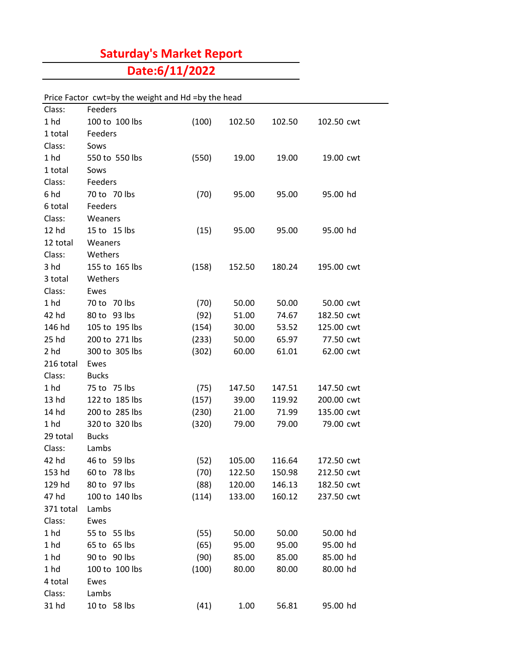## **Saturday's Market Report**

**Date:6/11/2022**

## Price Factor cwt=by the weight and Hd =by the head

| Class:          | Feeders        |       |        |        |            |
|-----------------|----------------|-------|--------|--------|------------|
| 1 <sub>hd</sub> | 100 to 100 lbs | (100) | 102.50 | 102.50 | 102.50 cwt |
| 1 total         | Feeders        |       |        |        |            |
| Class:          | Sows           |       |        |        |            |
| 1 <sub>hd</sub> | 550 to 550 lbs | (550) | 19.00  | 19.00  | 19.00 cwt  |
| 1 total         | Sows           |       |        |        |            |
| Class:          | Feeders        |       |        |        |            |
| 6 hd            | 70 to 70 lbs   | (70)  | 95.00  | 95.00  | 95.00 hd   |
| 6 total         | Feeders        |       |        |        |            |
| Class:          | Weaners        |       |        |        |            |
| 12 hd           | 15 to 15 lbs   | (15)  | 95.00  | 95.00  | 95.00 hd   |
| 12 total        | Weaners        |       |        |        |            |
| Class:          | Wethers        |       |        |        |            |
| 3 hd            | 155 to 165 lbs | (158) | 152.50 | 180.24 | 195.00 cwt |
| 3 total         | Wethers        |       |        |        |            |
| Class:          | Ewes           |       |        |        |            |
| 1 <sub>hd</sub> | 70 to 70 lbs   | (70)  | 50.00  | 50.00  | 50.00 cwt  |
| 42 hd           | 80 to 93 lbs   | (92)  | 51.00  | 74.67  | 182.50 cwt |
| 146 hd          | 105 to 195 lbs | (154) | 30.00  | 53.52  | 125.00 cwt |
| 25 hd           | 200 to 271 lbs | (233) | 50.00  | 65.97  | 77.50 cwt  |
| 2 <sub>hd</sub> | 300 to 305 lbs | (302) | 60.00  | 61.01  | 62.00 cwt  |
| 216 total       | Ewes           |       |        |        |            |
| Class:          | <b>Bucks</b>   |       |        |        |            |
| 1 <sub>hd</sub> | 75 to 75 lbs   | (75)  | 147.50 | 147.51 | 147.50 cwt |
| 13 hd           | 122 to 185 lbs | (157) | 39.00  | 119.92 | 200.00 cwt |
| 14 hd           | 200 to 285 lbs | (230) | 21.00  | 71.99  | 135.00 cwt |
| 1 <sub>hd</sub> | 320 to 320 lbs | (320) | 79.00  | 79.00  | 79.00 cwt  |
| 29 total        | <b>Bucks</b>   |       |        |        |            |
| Class:          | Lambs          |       |        |        |            |
| 42 hd           | 46 to 59 lbs   | (52)  | 105.00 | 116.64 | 172.50 cwt |
| 153 hd          | 60 to 78 lbs   | (70)  | 122.50 | 150.98 | 212.50 cwt |
| 129 hd          | 80 to 97 lbs   | (88)  | 120.00 | 146.13 | 182.50 cwt |
| 47 hd           | 100 to 140 lbs | (114) | 133.00 | 160.12 | 237.50 cwt |
| 371 total       | Lambs          |       |        |        |            |
| Class:          | Ewes           |       |        |        |            |
| 1 <sub>hd</sub> | 55 to 55 lbs   | (55)  | 50.00  | 50.00  | 50.00 hd   |
| 1 <sub>hd</sub> | 65 to 65 lbs   | (65)  | 95.00  | 95.00  | 95.00 hd   |
| 1 <sub>hd</sub> | 90 to 90 lbs   | (90)  | 85.00  | 85.00  | 85.00 hd   |
| 1 <sub>hd</sub> | 100 to 100 lbs | (100) | 80.00  | 80.00  | 80.00 hd   |
| 4 total         | Ewes           |       |        |        |            |
| Class:          | Lambs          |       |        |        |            |
| 31 hd           | 10 to 58 lbs   | (41)  | 1.00   | 56.81  | 95.00 hd   |